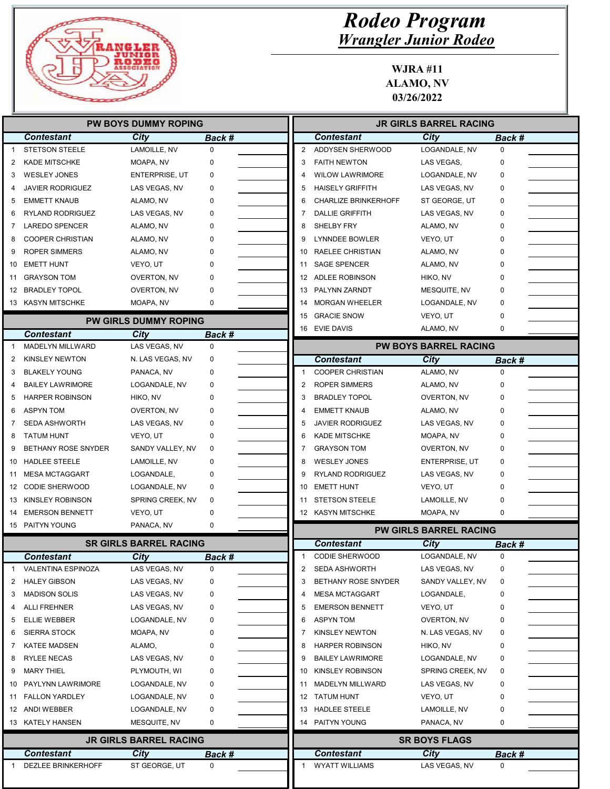

| <b>PW BOYS DUMMY ROPING</b> |                            |                               |             |              | <b>JR GIRLS BARREL RACING</b> |                               |               |  |
|-----------------------------|----------------------------|-------------------------------|-------------|--------------|-------------------------------|-------------------------------|---------------|--|
|                             | <b>Contestant</b>          | City                          | Back #      |              | <b>Contestant</b>             | City                          | Back #        |  |
|                             | <b>STETSON STEELE</b>      | LAMOILLE, NV                  | $\mathbf 0$ | 2            | ADDYSEN SHERWOOD              | LOGANDALE, NV                 | $\mathbf 0$   |  |
| 2                           | <b>KADE MITSCHKE</b>       | MOAPA, NV                     | 0           | 3            | <b>FAITH NEWTON</b>           | LAS VEGAS,                    | 0             |  |
| 3                           | <b>WESLEY JONES</b>        | <b>ENTERPRISE, UT</b>         | 0           | Δ            | <b>WILOW LAWRIMORE</b>        | LOGANDALE, NV                 | 0             |  |
| 4                           | JAVIER RODRIGUEZ           | LAS VEGAS, NV                 | 0           | 5            | <b>HAISELY GRIFFITH</b>       | LAS VEGAS, NV                 | 0             |  |
| 5                           | <b>EMMETT KNAUB</b>        | ALAMO, NV                     | 0           | 6            | <b>CHARLIZE BRINKERHOFF</b>   | ST GEORGE, UT                 | 0             |  |
| 6                           | <b>RYLAND RODRIGUEZ</b>    | LAS VEGAS, NV                 | 0           | 7            | <b>DALLIE GRIFFITH</b>        | LAS VEGAS, NV                 | 0             |  |
| 7                           | <b>LAREDO SPENCER</b>      | ALAMO, NV                     | 0           | 8            | SHELBY FRY                    | ALAMO, NV                     | 0             |  |
| 8                           | <b>COOPER CHRISTIAN</b>    | ALAMO, NV                     | 0           | 9            | <b>LYNNDEE BOWLER</b>         | VEYO, UT                      | 0             |  |
| 9                           | <b>ROPER SIMMERS</b>       | ALAMO, NV                     | 0           | 10           | RAELEE CHRISTIAN              | ALAMO, NV                     | 0             |  |
| 10                          | <b>EMETT HUNT</b>          | VEYO, UT                      | 0           | 11           | <b>SAGE SPENCER</b>           | ALAMO, NV                     | 0             |  |
| 11                          | GRAYSON TOM                | OVERTON, NV                   | 0           |              | 12 ADLEE ROBINSON             | HIKO, NV                      | 0             |  |
|                             | 12 BRADLEY TOPOL           | OVERTON, NV                   | 0           | 13           | PALYNN ZARNDT                 | MESQUITE, NV                  | 0             |  |
|                             | 13 KASYN MITSCHKE          | MOAPA, NV                     | 0           | 14           | <b>MORGAN WHEELER</b>         | LOGANDALE, NV                 | 0             |  |
|                             |                            |                               |             | 15           | <b>GRACIE SNOW</b>            | VEYO, UT                      | 0             |  |
|                             |                            | <b>PW GIRLS DUMMY ROPING</b>  |             |              | 16 EVIE DAVIS                 | ALAMO, NV                     | 0             |  |
|                             | <b>Contestant</b>          | City                          | Back #      |              |                               |                               |               |  |
| 1                           | MADELYN MILLWARD           | LAS VEGAS, NV                 | $\mathbf 0$ |              |                               | <b>PW BOYS BARREL RACING</b>  |               |  |
| 2                           | <b>KINSLEY NEWTON</b>      | N. LAS VEGAS, NV              | 0           |              | <b>Contestant</b>             | <b>City</b>                   | <b>Back #</b> |  |
| 3                           | <b>BLAKELY YOUNG</b>       | PANACA, NV                    | 0           | $\mathbf{1}$ | <b>COOPER CHRISTIAN</b>       | ALAMO, NV                     | $\mathbf 0$   |  |
| 4                           | <b>BAILEY LAWRIMORE</b>    | LOGANDALE, NV                 | 0           | 2            | <b>ROPER SIMMERS</b>          | ALAMO, NV                     | 0             |  |
| 5                           | <b>HARPER ROBINSON</b>     | HIKO, NV                      | 0           | 3            | <b>BRADLEY TOPOL</b>          | <b>OVERTON, NV</b>            | 0             |  |
| 6                           | <b>ASPYN TOM</b>           | <b>OVERTON, NV</b>            | 0           | 4            | <b>EMMETT KNAUB</b>           | ALAMO, NV                     | 0             |  |
| 7                           | <b>SEDA ASHWORTH</b>       | LAS VEGAS, NV                 | 0           | 5            | <b>JAVIER RODRIGUEZ</b>       | LAS VEGAS, NV                 | 0             |  |
| 8                           | <b>TATUM HUNT</b>          | VEYO, UT                      | 0           | 6            | <b>KADE MITSCHKE</b>          | MOAPA, NV                     | 0             |  |
| 9                           | <b>BETHANY ROSE SNYDER</b> | SANDY VALLEY, NV              | 0           | 7            | <b>GRAYSON TOM</b>            | OVERTON, NV                   | 0             |  |
| 10                          | <b>HADLEE STEELE</b>       | LAMOILLE, NV                  | 0           | 8            | <b>WESLEY JONES</b>           | <b>ENTERPRISE, UT</b>         | 0             |  |
| 11                          | MESA MCTAGGART             | LOGANDALE,                    | 0           | 9            | RYLAND RODRIGUEZ              | LAS VEGAS, NV                 | 0             |  |
| 12                          | <b>CODIE SHERWOOD</b>      | LOGANDALE, NV                 | 0           | 10           | <b>EMETT HUNT</b>             | VEYO, UT                      | 0             |  |
| 13                          | <b>KINSLEY ROBINSON</b>    | SPRING CREEK, NV              | 0           | 11           | <b>STETSON STEELE</b>         | LAMOILLE, NV                  | 0             |  |
| 14                          | <b>EMERSON BENNETT</b>     | VEYO, UT                      | 0           |              | 12 KASYN MITSCHKE             | MOAPA, NV                     | 0             |  |
|                             | 15 PAITYN YOUNG            | PANACA, NV                    | 0           |              |                               | <b>PW GIRLS BARREL RACING</b> |               |  |
|                             |                            | <b>SR GIRLS BARREL RACING</b> |             |              | <b>Contestant</b>             | City                          | <b>Back #</b> |  |
|                             | <b>Contestant</b>          | <b>City</b>                   | Back #      | 1            | <b>CODIE SHERWOOD</b>         | LOGANDALE, NV                 | $\mathbf 0$   |  |
| 1                           | VALENTINA ESPINOZA         | LAS VEGAS, NV                 | 0           | 2            | <b>SEDA ASHWORTH</b>          | LAS VEGAS, NV                 | 0             |  |
| 2                           | <b>HALEY GIBSON</b>        | LAS VEGAS, NV                 | 0           | 3            | BETHANY ROSE SNYDER           | SANDY VALLEY, NV              | 0             |  |
| 3                           | <b>MADISON SOLIS</b>       | LAS VEGAS, NV                 | 0           | 4            | <b>MESA MCTAGGART</b>         | LOGANDALE,                    | 0             |  |
| 4                           | <b>ALLI FREHNER</b>        | LAS VEGAS, NV                 | 0           | 5            | <b>EMERSON BENNETT</b>        | VEYO, UT                      | 0             |  |
| 5                           | <b>ELLIE WEBBER</b>        | LOGANDALE, NV                 | 0           | 6            | <b>ASPYN TOM</b>              | OVERTON, NV                   | 0             |  |
| 6                           | <b>SIERRA STOCK</b>        | MOAPA, NV                     | 0           | 7            | <b>KINSLEY NEWTON</b>         | N. LAS VEGAS, NV              | 0             |  |
| 7                           | <b>KATEE MADSEN</b>        | ALAMO,                        | 0           | 8            | <b>HARPER ROBINSON</b>        | HIKO, NV                      | 0             |  |
| 8                           | <b>RYLEE NECAS</b>         | LAS VEGAS, NV                 | 0           | 9            | <b>BAILEY LAWRIMORE</b>       | LOGANDALE, NV                 | 0             |  |
| 9                           | <b>MARY THIEL</b>          | PLYMOUTH, WI                  | 0           |              | 10 KINSLEY ROBINSON           | SPRING CREEK, NV              | 0             |  |
| 10                          | PAYLYNN LAWRIMORE          | LOGANDALE, NV                 | 0           | 11           | MADELYN MILLWARD              | LAS VEGAS, NV                 | 0             |  |
|                             | 11 FALLON YARDLEY          | LOGANDALE, NV                 | 0           |              | 12 TATUM HUNT                 | VEYO, UT                      | 0             |  |
|                             | 12 ANDI WEBBER             | LOGANDALE, NV                 | 0           |              | 13 HADLEE STEELE              | LAMOILLE, NV                  | 0             |  |
|                             | 13 KATELY HANSEN           | MESQUITE, NV                  | 0           |              | 14 PAITYN YOUNG               | PANACA, NV                    | 0             |  |
|                             |                            |                               |             |              |                               |                               |               |  |
|                             |                            | <b>JR GIRLS BARREL RACING</b> |             |              |                               | <b>SR BOYS FLAGS</b>          |               |  |
|                             | <b>Contestant</b>          | City                          | Back #      |              | <b>Contestant</b>             | City                          | Back #        |  |
| -1                          | DEZLEE BRINKERHOFF         | ST GEORGE, UT                 | 0           | 1            | <b>WYATT WILLIAMS</b>         | LAS VEGAS, NV                 | 0             |  |
|                             |                            |                               |             |              |                               |                               |               |  |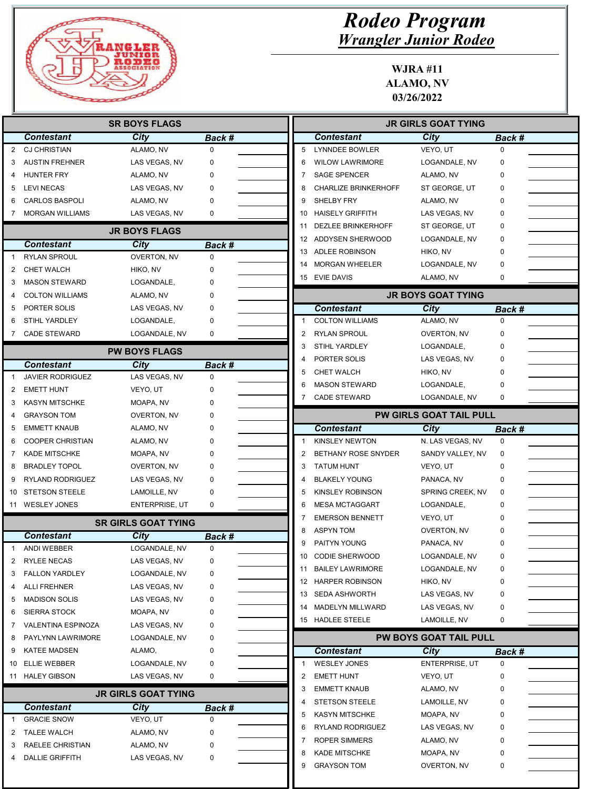

| <b>Rodeo Program</b>         |
|------------------------------|
| <b>Wrangler Junior Rodeo</b> |

|    |                                         | <b>SR BOYS FLAGS</b>         |                              |                |                             | <b>JR GIRLS GOAT TYING</b>     |               |  |
|----|-----------------------------------------|------------------------------|------------------------------|----------------|-----------------------------|--------------------------------|---------------|--|
|    | <b>Contestant</b>                       | City                         | Back #                       |                | <b>Contestant</b>           | <b>City</b>                    | Back #        |  |
| 2  | <b>CJ CHRISTIAN</b>                     | ALAMO, NV                    | $\mathbf 0$                  | 5              | <b>LYNNDEE BOWLER</b>       | VEYO, UT                       | $\mathbf 0$   |  |
| 3  | <b>AUSTIN FREHNER</b>                   | LAS VEGAS, NV                | 0                            | 6              | <b>WILOW LAWRIMORE</b>      | LOGANDALE, NV                  | 0             |  |
| 4  | <b>HUNTER FRY</b>                       | ALAMO, NV                    | 0                            | 7              | <b>SAGE SPENCER</b>         | ALAMO, NV                      | O             |  |
| 5  | <b>LEVI NECAS</b>                       | LAS VEGAS, NV                | 0                            | 8              | <b>CHARLIZE BRINKERHOFF</b> | ST GEORGE, UT                  | 0             |  |
| 6  | <b>CARLOS BASPOLI</b>                   | ALAMO, NV                    | 0                            | 9              | SHELBY FRY                  | ALAMO, NV                      | $\Omega$      |  |
|    | <b>MORGAN WILLIAMS</b>                  | LAS VEGAS, NV                | 0                            | 10             | <b>HAISELY GRIFFITH</b>     | LAS VEGAS, NV                  | 0             |  |
|    |                                         | <b>JR BOYS FLAGS</b>         |                              | 11             | <b>DEZLEE BRINKERHOFF</b>   | ST GEORGE, UT                  | 0             |  |
|    | <b>Contestant</b>                       | City                         | <b>Back #</b>                | 12             | ADDYSEN SHERWOOD            | LOGANDALE, NV                  | 0             |  |
| -1 | <b>RYLAN SPROUL</b>                     | OVERTON, NV                  | $\mathbf 0$                  | 13             | <b>ADLEE ROBINSON</b>       | HIKO, NV                       | $\mathbf 0$   |  |
| 2  | <b>CHET WALCH</b>                       | HIKO, NV                     | 0                            | 14             | <b>MORGAN WHEELER</b>       | LOGANDALE, NV                  | 0             |  |
| 3  | <b>MASON STEWARD</b>                    | LOGANDALE,                   | 0                            |                | 15 EVIE DAVIS               | ALAMO, NV                      | $\mathbf 0$   |  |
| 4  | <b>COLTON WILLIAMS</b>                  | ALAMO, NV                    | 0                            |                |                             | <b>JR BOYS GOAT TYING</b>      |               |  |
| 5  | PORTER SOLIS                            | LAS VEGAS, NV                | 0                            |                | <b>Contestant</b>           | City                           | Back #        |  |
| 6  | <b>STIHL YARDLEY</b>                    | LOGANDALE,                   | 0                            | $\mathbf{1}$   | <b>COLTON WILLIAMS</b>      | ALAMO, NV                      | $\Omega$      |  |
| 7  | <b>CADE STEWARD</b>                     | LOGANDALE, NV                | 0                            | 2              | <b>RYLAN SPROUL</b>         | OVERTON, NV                    | $\Omega$      |  |
|    |                                         | <b>PW BOYS FLAGS</b>         |                              | 3              | <b>STIHL YARDLEY</b>        | LOGANDALE,                     | 0             |  |
|    | <b>Contestant</b>                       |                              |                              | 4              | PORTER SOLIS                | LAS VEGAS, NV                  | 0             |  |
|    | <b>JAVIER RODRIGUEZ</b>                 | City<br>LAS VEGAS, NV        | Back #<br>$\mathbf 0$        | 5              | <b>CHET WALCH</b>           | HIKO, NV                       | 0             |  |
| 2  | <b>EMETT HUNT</b>                       | VEYO, UT                     | 0                            | 6              | <b>MASON STEWARD</b>        | LOGANDALE,                     | O             |  |
| 3  | <b>KASYN MITSCHKE</b>                   | MOAPA, NV                    |                              |                | <b>CADE STEWARD</b>         | LOGANDALE, NV                  | 0             |  |
| 4  | <b>GRAYSON TOM</b>                      | OVERTON, NV                  | 0                            |                |                             | <b>PW GIRLS GOAT TAIL PULL</b> |               |  |
| 5  | <b>EMMETT KNAUB</b>                     | ALAMO, NV                    | 0                            |                | <b>Contestant</b>           | <b>City</b>                    | Back #        |  |
| 6  | <b>COOPER CHRISTIAN</b>                 | ALAMO, NV                    | O                            | $\mathbf{1}$   | <b>KINSLEY NEWTON</b>       | N. LAS VEGAS, NV               | 0             |  |
| 7  | <b>KADE MITSCHKE</b>                    | MOAPA, NV                    | 0                            | $\overline{2}$ | BETHANY ROSE SNYDER         | SANDY VALLEY, NV               | 0             |  |
| 8  | <b>BRADLEY TOPOL</b>                    | OVERTON, NV                  | 0                            | 3              | <b>TATUM HUNT</b>           | VEYO, UT                       | 0             |  |
| 9  | RYLAND RODRIGUEZ                        | LAS VEGAS, NV                | 0                            | 4              | <b>BLAKELY YOUNG</b>        | PANACA, NV                     | 0             |  |
| 10 | STETSON STEELE                          | LAMOILLE, NV                 | 0                            | 5              | KINSLEY ROBINSON            | SPRING CREEK, NV               | 0             |  |
|    | 11 WESLEY JONES                         | ENTERPRISE, UT               | 0                            | 6              | <b>MESA MCTAGGART</b>       | LOGANDALE,                     | 0             |  |
|    |                                         |                              |                              | 7              | <b>EMERSON BENNETT</b>      | VEYO, UT                       | 0             |  |
|    | <b>Contestant</b>                       | <b>SR GIRLS GOAT TYING</b>   |                              | 8              | <b>ASPYN TOM</b>            | OVERTON, NV                    |               |  |
|    | <b>ANDI WEBBER</b>                      | <b>City</b><br>LOGANDALE, NV | <b>Back #</b><br>$\mathbf 0$ | 9              | PAITYN YOUNG                | PANACA, NV                     |               |  |
|    | RYLEE NECAS                             | LAS VEGAS, NV                | 0                            | 10             | <b>CODIE SHERWOOD</b>       | LOGANDALE, NV                  | 0             |  |
| 3  | <b>FALLON YARDLEY</b>                   | LOGANDALE, NV                | 0                            | 11             | <b>BAILEY LAWRIMORE</b>     | LOGANDALE, NV                  | 0             |  |
| 4  | <b>ALLI FREHNER</b>                     | LAS VEGAS, NV                | 0                            |                | 12 HARPER ROBINSON          | HIKO, NV                       | 0             |  |
| 5  | <b>MADISON SOLIS</b>                    | LAS VEGAS, NV                | 0                            |                | 13 SEDA ASHWORTH            | LAS VEGAS, NV                  | 0             |  |
| 6  | <b>SIERRA STOCK</b>                     | MOAPA, NV                    | 0                            | 14             | MADELYN MILLWARD            | LAS VEGAS, NV                  | 0             |  |
| 7  | VALENTINA ESPINOZA                      | LAS VEGAS, NV                | 0                            |                | 15 HADLEE STEELE            | LAMOILLE, NV                   | 0             |  |
| 8  | PAYLYNN LAWRIMORE                       | LOGANDALE, NV                | 0                            |                |                             | <b>PW BOYS GOAT TAIL PULL</b>  |               |  |
| 9  | <b>KATEE MADSEN</b>                     | ALAMO,                       | 0                            |                | <b>Contestant</b>           | City                           | <b>Back #</b> |  |
| 10 | <b>ELLIE WEBBER</b>                     | LOGANDALE, NV                | 0                            | -1             | <b>WESLEY JONES</b>         | ENTERPRISE, UT                 | 0             |  |
|    | 11 HALEY GIBSON                         | LAS VEGAS, NV                | 0                            | 2              | <b>EMETT HUNT</b>           | VEYO, UT                       | 0             |  |
|    |                                         |                              |                              | 3              | <b>EMMETT KNAUB</b>         | ALAMO, NV                      | 0             |  |
|    |                                         | <b>JR GIRLS GOAT TYING</b>   |                              | 4              | <b>STETSON STEELE</b>       | LAMOILLE, NV                   | 0             |  |
| 1  | <b>Contestant</b><br><b>GRACIE SNOW</b> | City<br>VEYO, UT             | Back #<br>0                  | 5              | <b>KASYN MITSCHKE</b>       | MOAPA, NV                      | 0             |  |
| 2  | <b>TALEE WALCH</b>                      | ALAMO, NV                    | 0                            | 6              | RYLAND RODRIGUEZ            | LAS VEGAS, NV                  | 0             |  |
| 3  | RAELEE CHRISTIAN                        | ALAMO, NV                    | 0                            | 7              | ROPER SIMMERS               | ALAMO, NV                      | 0             |  |
| 4  | <b>DALLIE GRIFFITH</b>                  | LAS VEGAS, NV                | 0                            | 8              | <b>KADE MITSCHKE</b>        | MOAPA, NV                      | 0             |  |
|    |                                         |                              |                              | 9              | <b>GRAYSON TOM</b>          | OVERTON, NV                    | 0             |  |
|    |                                         |                              |                              |                |                             |                                |               |  |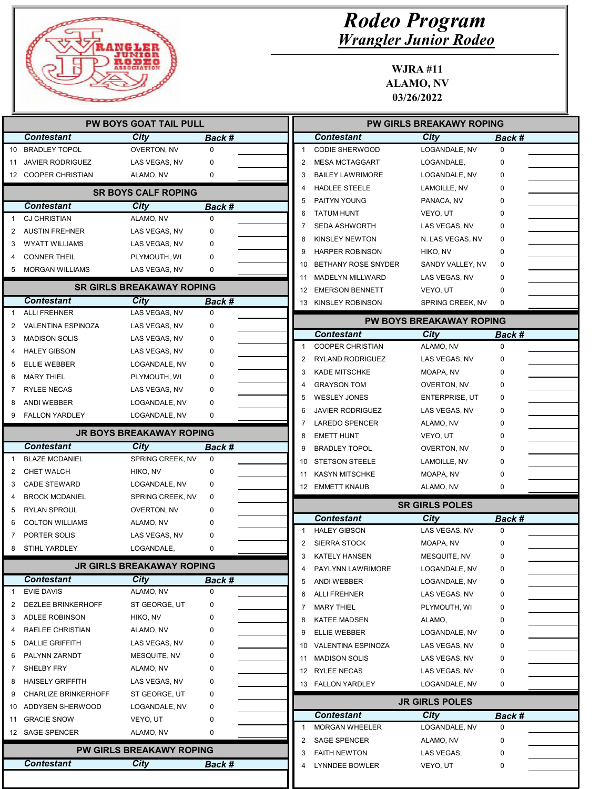

| <b>PW BOYS GOAT TAIL PULL</b> |                             |                                  |             |              | <b>PW GIRLS BREAKAWY ROPING</b>           |                                 |               |  |
|-------------------------------|-----------------------------|----------------------------------|-------------|--------------|-------------------------------------------|---------------------------------|---------------|--|
|                               | <b>Contestant</b>           | City                             | Back #      |              | <b>Contestant</b>                         | City                            | Back #        |  |
| 10                            | <b>BRADLEY TOPOL</b>        | OVERTON, NV                      | $\mathbf 0$ | $\mathbf{1}$ | CODIE SHERWOOD                            | LOGANDALE, NV                   | $\mathbf 0$   |  |
| 11                            | <b>JAVIER RODRIGUEZ</b>     | LAS VEGAS, NV                    | 0           | 2            | <b>MESA MCTAGGART</b>                     | LOGANDALE,                      | 0             |  |
|                               | 12 COOPER CHRISTIAN         | ALAMO, NV                        | 0           | 3            | <b>BAILEY LAWRIMORE</b>                   | LOGANDALE, NV                   | 0             |  |
|                               |                             | <b>SR BOYS CALF ROPING</b>       |             | 4            | <b>HADLEE STEELE</b>                      | LAMOILLE, NV                    | 0             |  |
|                               | <b>Contestant</b>           | City                             | Back #      | 5            | PAITYN YOUNG                              | PANACA, NV                      | 0             |  |
|                               | <b>CJ CHRISTIAN</b>         | ALAMO, NV                        | $\mathbf 0$ | 6            | <b>TATUM HUNT</b>                         | VEYO, UT                        | 0             |  |
| 2                             | <b>AUSTIN FREHNER</b>       | LAS VEGAS, NV                    | 0           | 7            | <b>SEDA ASHWORTH</b>                      | LAS VEGAS, NV                   | 0             |  |
| 3                             | <b>WYATT WILLIAMS</b>       | LAS VEGAS, NV                    | 0           | 8            | <b>KINSLEY NEWTON</b>                     | N. LAS VEGAS, NV                | 0             |  |
| 4                             | <b>CONNER THEIL</b>         | PLYMOUTH, WI                     | 0           | 9            | <b>HARPER ROBINSON</b>                    | HIKO, NV                        | 0             |  |
| 5                             | <b>MORGAN WILLIAMS</b>      | LAS VEGAS, NV                    | 0           | 10           | BETHANY ROSE SNYDER                       | SANDY VALLEY, NV                | 0             |  |
|                               |                             |                                  |             | 11           | MADELYN MILLWARD                          | LAS VEGAS, NV                   | 0             |  |
|                               |                             | <b>SR GIRLS BREAKAWAY ROPING</b> |             | 12           | <b>EMERSON BENNETT</b>                    | VEYO, UT                        | 0             |  |
|                               | <b>Contestant</b>           | City                             | Back #      |              | 13 KINSLEY ROBINSON                       | SPRING CREEK, NV                | $\mathbf 0$   |  |
|                               | <b>ALLI FREHNER</b>         | LAS VEGAS, NV                    | $\mathbf 0$ |              |                                           | <b>PW BOYS BREAKAWAY ROPING</b> |               |  |
| 2                             | VALENTINA ESPINOZA          | LAS VEGAS, NV                    | 0           |              | <b>Contestant</b>                         | City                            | Back #        |  |
| 3                             | <b>MADISON SOLIS</b>        | LAS VEGAS, NV                    | 0           |              | <b>COOPER CHRISTIAN</b>                   | ALAMO, NV                       | 0             |  |
| 4                             | <b>HALEY GIBSON</b>         | LAS VEGAS, NV                    | 0           | 2            | RYLAND RODRIGUEZ                          | LAS VEGAS, NV                   | 0             |  |
| 5                             | ELLIE WEBBER                | LOGANDALE, NV                    | 0           | 3            | <b>KADE MITSCHKE</b>                      | MOAPA, NV                       | 0             |  |
| 6                             | <b>MARY THIEL</b>           | PLYMOUTH, WI                     | 0           | 4            | <b>GRAYSON TOM</b>                        | <b>OVERTON, NV</b>              | 0             |  |
| 7                             | <b>RYLEE NECAS</b>          | LAS VEGAS, NV                    | 0           | 5            | <b>WESLEY JONES</b>                       | <b>ENTERPRISE, UT</b>           | 0             |  |
| 8                             | ANDI WEBBER                 | LOGANDALE, NV                    | 0           | 6            | <b>JAVIER RODRIGUEZ</b>                   | LAS VEGAS, NV                   | 0             |  |
| 9                             | <b>FALLON YARDLEY</b>       | LOGANDALE, NV                    | 0           | 7            | <b>LAREDO SPENCER</b>                     | ALAMO, NV                       | 0             |  |
|                               |                             | <b>JR BOYS BREAKAWAY ROPING</b>  |             | 8            | <b>EMETT HUNT</b>                         | VEYO, UT                        | 0             |  |
|                               | <b>Contestant</b>           | City                             | Back #      | 9            | <b>BRADLEY TOPOL</b>                      | <b>OVERTON, NV</b>              | 0             |  |
| -1                            | <b>BLAZE MCDANIEL</b>       | SPRING CREEK, NV                 | 0           | 10           | <b>STETSON STEELE</b>                     | LAMOILLE, NV                    | 0             |  |
| 2                             | <b>CHET WALCH</b>           | HIKO, NV                         | 0           | 11           | <b>KASYN MITSCHKE</b>                     | MOAPA, NV                       | 0             |  |
| 3                             | <b>CADE STEWARD</b>         | LOGANDALE, NV                    | 0           |              | 12 EMMETT KNAUB                           | ALAMO, NV                       | 0             |  |
| 4                             | <b>BROCK MCDANIEL</b>       | SPRING CREEK, NV                 | 0           |              |                                           |                                 |               |  |
| 5                             | <b>RYLAN SPROUL</b>         | OVERTON, NV                      | 0           |              |                                           | <b>SR GIRLS POLES</b>           |               |  |
| 6                             | <b>COLTON WILLIAMS</b>      | ALAMO, NV                        | 0           |              | <b>Contestant</b>                         | City<br>LAS VEGAS, NV           | <b>Back #</b> |  |
|                               | PORTER SOLIS                | LAS VEGAS, NV                    | 0           | -1<br>2      | <b>HALEY GIBSON</b>                       |                                 | $\mathbf 0$   |  |
| 8                             | STIHL YARDLEY               | LOGANDALE,                       | 0           | 3            | <b>SIERRA STOCK</b>                       | MOAPA, NV                       | 0<br>0        |  |
|                               |                             | <b>JR GIRLS BREAKAWAY ROPING</b> |             | 4            | <b>KATELY HANSEN</b><br>PAYLYNN LAWRIMORE | MESQUITE, NV                    |               |  |
|                               | <b>Contestant</b>           | City                             | Back #      | 5            | ANDI WEBBER                               | LOGANDALE, NV<br>LOGANDALE, NV  | 0<br>0        |  |
| 1                             | <b>EVIE DAVIS</b>           | ALAMO, NV                        | 0           | 6            | <b>ALLI FREHNER</b>                       | LAS VEGAS, NV                   | 0             |  |
| 2                             | <b>DEZLEE BRINKERHOFF</b>   | ST GEORGE, UT                    | 0           | 7            | <b>MARY THIEL</b>                         | PLYMOUTH, WI                    | 0             |  |
| 3                             | ADLEE ROBINSON              | HIKO, NV                         | 0           | 8            | <b>KATEE MADSEN</b>                       | ALAMO,                          | 0             |  |
| 4                             | RAELEE CHRISTIAN            | ALAMO, NV                        | 0           | 9            | ELLIE WEBBER                              | LOGANDALE, NV                   | 0             |  |
| 5                             | <b>DALLIE GRIFFITH</b>      | LAS VEGAS, NV                    | 0           |              | 10 VALENTINA ESPINOZA                     | LAS VEGAS, NV                   | 0             |  |
| 6                             | PALYNN ZARNDT               | MESQUITE, NV                     | 0           | 11           | <b>MADISON SOLIS</b>                      | LAS VEGAS, NV                   | 0             |  |
| 7                             | SHELBY FRY                  | ALAMO, NV                        | 0           |              | 12 RYLEE NECAS                            | LAS VEGAS, NV                   | 0             |  |
| 8                             | <b>HAISELY GRIFFITH</b>     | LAS VEGAS, NV                    | 0           |              | 13 FALLON YARDLEY                         | LOGANDALE, NV                   | 0             |  |
| 9                             | <b>CHARLIZE BRINKERHOFF</b> | ST GEORGE, UT                    | 0           |              |                                           |                                 |               |  |
| 10                            | ADDYSEN SHERWOOD            | LOGANDALE, NV                    | 0           |              |                                           | <b>JR GIRLS POLES</b>           |               |  |
| 11                            | <b>GRACIE SNOW</b>          | VEYO, UT                         | 0           |              | <b>Contestant</b>                         | City                            | Back #        |  |
|                               | 12 SAGE SPENCER             | ALAMO, NV                        | 0           | -1           | <b>MORGAN WHEELER</b>                     | LOGANDALE, NV                   | 0             |  |
|                               |                             |                                  |             | 2            | <b>SAGE SPENCER</b>                       | ALAMO, NV                       | 0             |  |
|                               |                             | <b>PW GIRLS BREAKAWY ROPING</b>  |             | 3            | <b>FAITH NEWTON</b>                       | LAS VEGAS,                      | 0             |  |
|                               | <b>Contestant</b>           | <b>City</b>                      | Back #      | 4            | <b>LYNNDEE BOWLER</b>                     | VEYO, UT                        | 0             |  |
|                               |                             |                                  |             |              |                                           |                                 |               |  |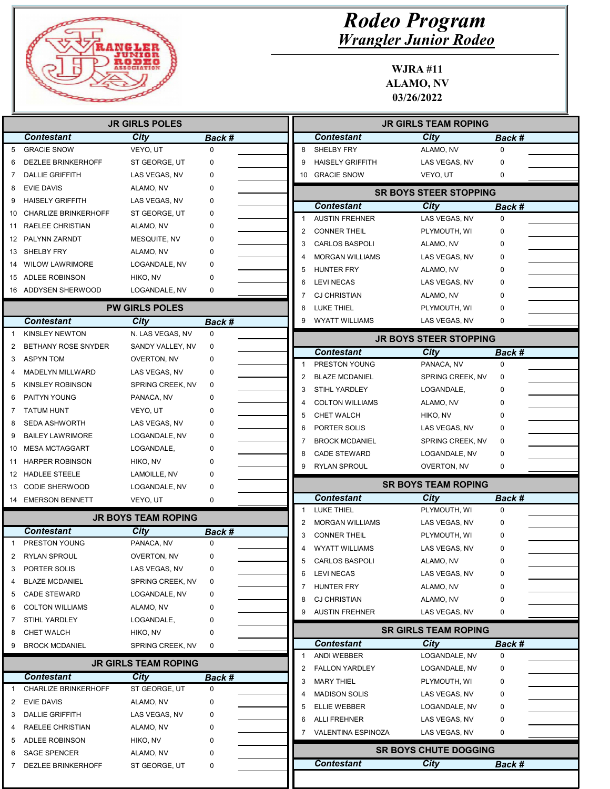

|                       |                                       | <b>JR GIRLS POLES</b>       |             |                             |                         | <b>JR GIRLS TEAM ROPING</b>   |             |
|-----------------------|---------------------------------------|-----------------------------|-------------|-----------------------------|-------------------------|-------------------------------|-------------|
|                       | <b>Contestant</b>                     | City                        | Back #      | <b>Contestant</b>           |                         | City                          | Back #      |
| 5                     | <b>GRACIE SNOW</b>                    | VEYO, UT                    | $\mathbf 0$ | 8<br><b>SHELBY FRY</b>      |                         | ALAMO, NV                     | $\mathbf 0$ |
| 6                     | <b>DEZLEE BRINKERHOFF</b>             | ST GEORGE, UT               | 0           | 9                           | <b>HAISELY GRIFFITH</b> | LAS VEGAS, NV                 | 0           |
|                       | <b>DALLIE GRIFFITH</b>                | LAS VEGAS, NV               | 0           | 10 GRACIE SNOW              |                         | VEYO, UT                      | 0           |
| 8                     | <b>EVIE DAVIS</b>                     | ALAMO, NV                   | 0           |                             |                         | <b>SR BOYS STEER STOPPING</b> |             |
| 9                     | <b>HAISELY GRIFFITH</b>               | LAS VEGAS, NV               | 0           | <b>Contestant</b>           |                         | <b>City</b>                   |             |
| 10                    | <b>CHARLIZE BRINKERHOFF</b>           | ST GEORGE, UT               | 0           | 1                           | <b>AUSTIN FREHNER</b>   | LAS VEGAS, NV                 | Back #<br>0 |
| 11                    | RAELEE CHRISTIAN                      | ALAMO, NV                   | 0           | 2                           | <b>CONNER THEIL</b>     |                               | 0           |
| 12                    | PALYNN ZARNDT                         | MESQUITE, NV                | 0           | 3                           | <b>CARLOS BASPOLI</b>   | PLYMOUTH, WI                  | 0           |
| 13                    | SHELBY FRY                            | ALAMO, NV                   | 0           | 4                           | <b>MORGAN WILLIAMS</b>  | ALAMO, NV<br>LAS VEGAS, NV    | 0           |
| 14                    | <b>WILOW LAWRIMORE</b>                | LOGANDALE, NV               | 0           |                             |                         |                               |             |
| 15                    | ADLEE ROBINSON                        | HIKO, NV                    | 0           | HUNTER FRY<br>5             |                         | ALAMO, NV                     | 0           |
|                       | 16 ADDYSEN SHERWOOD                   | LOGANDALE, NV               | 0           | <b>LEVI NECAS</b><br>6      |                         | LAS VEGAS, NV                 | 0           |
|                       |                                       |                             |             | <b>CJ CHRISTIAN</b><br>7    |                         | ALAMO, NV                     | 0           |
|                       |                                       | <b>PW GIRLS POLES</b>       |             | <b>LUKE THIEL</b><br>8      |                         | PLYMOUTH, WI                  | 0           |
|                       | <b>Contestant</b>                     | City                        | Back #      | 9                           | <b>WYATT WILLIAMS</b>   | LAS VEGAS, NV                 | 0           |
|                       | <b>KINSLEY NEWTON</b>                 | N. LAS VEGAS. NV            | $\mathbf 0$ |                             |                         | <b>JR BOYS STEER STOPPING</b> |             |
| 2                     | <b>BETHANY ROSE SNYDER</b>            | SANDY VALLEY, NV            | 0           | <b>Contestant</b>           |                         | City                          | Back #      |
| 3                     | <b>ASPYN TOM</b>                      | OVERTON, NV                 | 0           |                             | PRESTON YOUNG           | PANACA, NV                    | $\mathbf 0$ |
|                       | MADELYN MILLWARD                      | LAS VEGAS, NV               | 0           | 2                           | <b>BLAZE MCDANIEL</b>   | SPRING CREEK, NV              | 0           |
| 5                     | KINSLEY ROBINSON                      | SPRING CREEK, NV            | 0           | 3                           | STIHL YARDLEY           | LOGANDALE,                    | 0           |
| 6                     | PAITYN YOUNG                          | PANACA, NV                  | 0           | 4                           | <b>COLTON WILLIAMS</b>  | ALAMO, NV                     | 0           |
| 7                     | <b>TATUM HUNT</b>                     | VEYO, UT                    | 0           | CHET WALCH<br>5             |                         | HIKO, NV                      | 0           |
| 8                     | <b>SEDA ASHWORTH</b>                  | LAS VEGAS, NV               | 0           | 6                           | PORTER SOLIS            | LAS VEGAS, NV                 | 0           |
| 9                     | <b>BAILEY LAWRIMORE</b>               | LOGANDALE, NV               | 0           | 7                           | <b>BROCK MCDANIEL</b>   | SPRING CREEK, NV              | 0           |
| 10                    | <b>MESA MCTAGGART</b>                 | LOGANDALE,                  | 0           | 8                           | <b>CADE STEWARD</b>     | LOGANDALE, NV                 | 0           |
| 11                    | <b>HARPER ROBINSON</b>                | HIKO, NV                    | 0           | 9                           | RYLAN SPROUL            | OVERTON, NV                   | 0           |
|                       | 12 HADLEE STEELE                      | LAMOILLE, NV                | 0           |                             |                         | <b>SR BOYS TEAM ROPING</b>    |             |
|                       | <b>CODIE SHERWOOD</b>                 | LOGANDALE, NV               | 0           |                             |                         |                               |             |
|                       |                                       | VEYO, UT                    | 0           | <b>Contestant</b>           |                         | City                          | Back #      |
|                       | <b>EMERSON BENNETT</b>                |                             |             |                             |                         |                               |             |
|                       |                                       | <b>JR BOYS TEAM ROPING</b>  |             | <b>LUKE THIEL</b><br>1      |                         | PLYMOUTH, WI                  | 0           |
|                       | <b>Contestant</b>                     | City                        |             | 2                           | <b>MORGAN WILLIAMS</b>  | LAS VEGAS, NV                 | 0           |
|                       | PRESTON YOUNG                         | PANACA, NV                  | Back #<br>0 | 3                           | <b>CONNER THEIL</b>     | PLYMOUTH, WI                  | 0           |
|                       | <b>RYLAN SPROUL</b>                   | <b>OVERTON, NV</b>          | $\mathbf 0$ | 4                           | <b>WYATT WILLIAMS</b>   | LAS VEGAS, NV                 | 0           |
| 2<br>3                | PORTER SOLIS                          | LAS VEGAS, NV               | 0           |                             | CARLOS BASPOLI          | ALAMO, NV                     | 0           |
| 4                     | <b>BLAZE MCDANIEL</b>                 | SPRING CREEK, NV            | 0           | <b>LEVI NECAS</b><br>6      |                         | LAS VEGAS, NV                 | 0           |
|                       | <b>CADE STEWARD</b>                   | LOGANDALE, NV               | 0           | HUNTER FRY<br>7             |                         | ALAMO, NV                     | 0           |
|                       | <b>COLTON WILLIAMS</b>                | ALAMO, NV                   | 0           | <b>CJ CHRISTIAN</b><br>8    |                         | ALAMO, NV                     | 0           |
|                       | STIHL YARDLEY                         | LOGANDALE,                  | 0           | 9                           | <b>AUSTIN FREHNER</b>   | LAS VEGAS, NV                 | 0           |
|                       | <b>CHET WALCH</b>                     | HIKO, NV                    | 0           |                             |                         | <b>SR GIRLS TEAM ROPING</b>   |             |
|                       | <b>BROCK MCDANIEL</b>                 | SPRING CREEK, NV            | 0           | <b>Contestant</b>           |                         | City                          | Back #      |
|                       |                                       |                             |             | ANDI WEBBER<br>$\mathbf{1}$ |                         | LOGANDALE, NV                 | 0           |
|                       |                                       | <b>JR GIRLS TEAM ROPING</b> |             | 2                           | <b>FALLON YARDLEY</b>   | LOGANDALE, NV                 | 0           |
|                       | <b>Contestant</b>                     | City                        | Back #      | <b>MARY THIEL</b><br>3      |                         | PLYMOUTH, WI                  | 0           |
| 5<br>6<br>7<br>8<br>9 | <b>CHARLIZE BRINKERHOFF</b>           | ST GEORGE, UT               | 0           | 4                           | <b>MADISON SOLIS</b>    | LAS VEGAS, NV                 | 0           |
| 2                     | <b>EVIE DAVIS</b>                     | ALAMO, NV                   | 0           | 5                           | ELLIE WEBBER            | LOGANDALE, NV                 | 0           |
| 3                     | <b>DALLIE GRIFFITH</b>                | LAS VEGAS, NV               | 0           | <b>ALLI FREHNER</b><br>6    |                         | LAS VEGAS, NV                 | 0           |
| 13<br>14<br>4         | RAELEE CHRISTIAN                      | ALAMO, NV                   | 0           | 7                           | VALENTINA ESPINOZA      | LAS VEGAS, NV                 | 0           |
| 5<br>6                | <b>ADLEE ROBINSON</b><br>SAGE SPENCER | HIKO, NV<br>ALAMO, NV       | 0<br>0      |                             |                         | <b>SR BOYS CHUTE DOGGING</b>  |             |